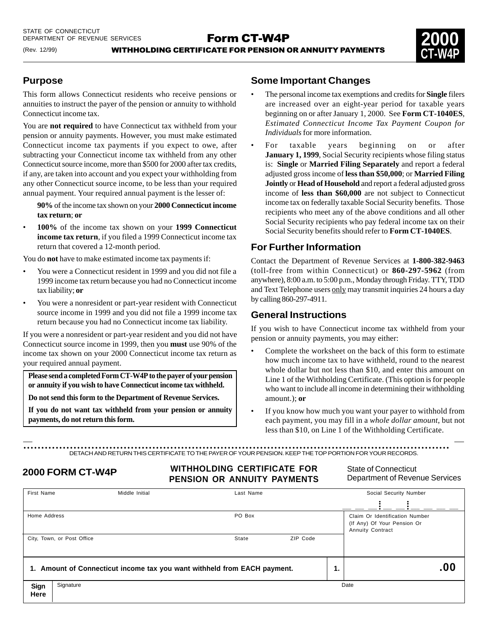

# **Purpose**

(Rev. 12/99)

This form allows Connecticut residents who receive pensions or annuities to instruct the payer of the pension or annuity to withhold Connecticut income tax.

You are **not required** to have Connecticut tax withheld from your pension or annuity payments. However, you must make estimated Connecticut income tax payments if you expect to owe, after subtracting your Connecticut income tax withheld from any other Connecticut source income, more than \$500 for 2000 after tax credits, if any, are taken into account and you expect your withholding from any other Connecticut source income, to be less than your required annual payment. Your required annual payment is the lesser of:

**90%** of the income tax shown on your **2000 Connecticut income tax return**; **or**

• **100%** of the income tax shown on your **1999 Connecticut income tax return**, if you filed a 1999 Connecticut income tax return that covered a 12-month period.

You do **not** have to make estimated income tax payments if:

- You were a Connecticut resident in 1999 and you did not file a 1999 income tax return because you had no Connecticut income tax liability; **or**
- You were a nonresident or part-year resident with Connecticut source income in 1999 and you did not file a 1999 income tax return because you had no Connecticut income tax liability.

If you were a nonresident or part-year resident and you did not have Connecticut source income in 1999, then you **must** use 90% of the income tax shown on your 2000 Connecticut income tax return as your required annual payment.

**Please send a completed Form CT-W4P to the payer of your pension or annuity if you wish to have Connecticut income tax withheld.**

**Do not send this form to the Department of Revenue Services.**

**If you do not want tax withheld from your pension or annuity payments, do not return this form.**

## **Some Important Changes**

- The personal income tax exemptions and credits for **Single** filers are increased over an eight-year period for taxable years beginning on or after January 1, 2000. See **Form CT-1040ES**, *Estimated Connecticut Income Tax Payment Coupon for Individuals* for more information.
- For taxable years beginning on or after **January 1, 1999**, Social Security recipients whose filing status is: **Single** or **Married Filing Separately** and report a federal adjusted gross income of **less than \$50,000**; or **Married Filing Jointly** or **Head of Household** and report a federal adjusted gross income of **less than \$60,000** are not subject to Connecticut income tax on federally taxable Social Security benefits. Those recipients who meet any of the above conditions and all other Social Security recipients who pay federal income tax on their Social Security benefits should refer to **Form CT-1040ES**.

## **For Further Information**

Contact the Department of Revenue Services at **1-800-382-9463** (toll-free from within Connecticut) or **860-297-5962** (from anywhere), 8:00 a.m. to 5:00 p.m., Monday through Friday. TTY, TDD and Text Telephone users only may transmit inquiries 24 hours a day by calling 860-297-4911.

## **General Instructions**

If you wish to have Connecticut income tax withheld from your pension or annuity payments, you may either:

- Complete the worksheet on the back of this form to estimate how much income tax to have withheld, round to the nearest whole dollar but not less than \$10, and enter this amount on Line 1 of the Withholding Certificate. (This option is for people who want to include all income in determining their withholding amount.); **or**
- If you know how much you want your payer to withhold from each payment, you may fill in a *whole dollar amount*, but not less than \$10, on Line 1 of the Withholding Certificate.

DETACH AND RETURN THIS CERTIFICATE TO THE PAYER OF YOUR PENSION. KEEP THE TOP PORTION FOR YOUR RECORDS. .......................................................................................................................

**WITHHOLDING CERTIFICATE FOR PENSION OR ANNUITY PAYMENTS** Department of Reversion CR ANNUITY PAYMENTS Department of Reversion CR ANNUITY PAYMENTS

Department of Revenue Services

| <b>First Name</b>                                                        |                            | Last Name<br>Middle Initial |        |          |  | Social Security Number                                                                   |  |  |
|--------------------------------------------------------------------------|----------------------------|-----------------------------|--------|----------|--|------------------------------------------------------------------------------------------|--|--|
|                                                                          |                            |                             |        |          |  |                                                                                          |  |  |
| Home Address                                                             |                            |                             | PO Box |          |  | Claim Or Identification Number<br>(If Any) Of Your Pension Or<br><b>Annuity Contract</b> |  |  |
|                                                                          | City, Town, or Post Office |                             | State  | ZIP Code |  |                                                                                          |  |  |
| 1. Amount of Connecticut income tax you want withheld from EACH payment. |                            |                             |        | Ί.       |  | .00                                                                                      |  |  |
| Sign<br>Here                                                             | Signature                  |                             |        |          |  | Date                                                                                     |  |  |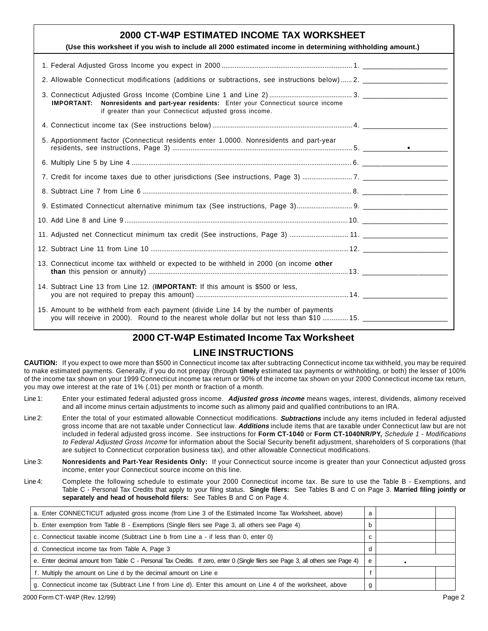| 2000 CT-W4P ESTIMATED INCOME TAX WORKSHEET<br>(Use this worksheet if you wish to include all 2000 estimated income in determining withholding amount.)                            |  |
|-----------------------------------------------------------------------------------------------------------------------------------------------------------------------------------|--|
|                                                                                                                                                                                   |  |
|                                                                                                                                                                                   |  |
| Nonresidents and part-year residents: Enter your Connecticut source income<br><b>IMPORTANT:</b><br>if greater than your Connecticut adjusted gross income.                        |  |
|                                                                                                                                                                                   |  |
| 5. Apportionment factor (Connecticut residents enter 1.0000. Nonresidents and part-year                                                                                           |  |
|                                                                                                                                                                                   |  |
|                                                                                                                                                                                   |  |
|                                                                                                                                                                                   |  |
|                                                                                                                                                                                   |  |
|                                                                                                                                                                                   |  |
|                                                                                                                                                                                   |  |
|                                                                                                                                                                                   |  |
| 13. Connecticut income tax withheld or expected to be withheld in 2000 (on income other                                                                                           |  |
| 14. Subtract Line 13 from Line 12. ( <b>IMPORTANT:</b> If this amount is \$500 or less,                                                                                           |  |
| 15. Amount to be withheld from each payment (divide Line 14 by the number of payments<br>you will receive in 2000). Round to the nearest whole dollar but not less than \$10  15. |  |

# **2000 CT-W4P Estimated Income Tax Worksheet**

# **LINE INSTRUCTIONS**

**CAUTION:** If you expect to owe more than \$500 in Connecticut income tax after subtracting Connecticut income tax withheld, you may be required to make estimated payments. Generally, if you do not prepay (through **timely** estimated tax payments or withholding, or both) the lesser of 100% of the income tax shown on your 1999 Connecticut income tax return or 90% of the income tax shown on your 2000 Connecticut income tax return, you may owe interest at the rate of 1% (.01) per month or fraction of a month.

- Line 1: Enter your estimated federal adjusted gross income. **Adjusted gross income** means wages, interest, dividends, alimony received and all income minus certain adjustments to income such as alimony paid and qualified contributions to an IRA.
- Line 2: Enter the total of your estimated allowable Connecticut modifications. **Subtractions** include any items included in federal adjusted gross income that are not taxable under Connecticut law. **Additions** include items that are taxable under Connecticut law but are not included in federal adjusted gross income. See instructions for **Form CT-1040** or **Form CT-1040NR/PY,** Schedule 1 - Modifications to Federal Adjusted Gross Income for information about the Social Security benefit adjustment, shareholders of S corporations (that are subject to Connecticut corporation business tax), and other allowable Connecticut modifications.
- Line 3: **Nonresidents and Part-Year Residents Only:** If your Connecticut source income is greater than your Connecticut adjusted gross income, enter your Connecticut source income on this line.
- Line 4: Complete the following schedule to estimate your 2000 Connecticut income tax. Be sure to use the Table B Exemptions, and Table C - Personal Tax Credits that apply to your filing status. **Single filers:** See Tables B and C on Page 3. **Married filing jointly or separately and head of household filers:** See Tables B and C on Page 4.

| a. Enter CONNECTICUT adjusted gross income (from Line 3 of the Estimated Income Tax Worksheet, above)                           | a      |  |
|---------------------------------------------------------------------------------------------------------------------------------|--------|--|
| b. Enter exemption from Table B - Exemptions (Single filers see Page 3, all others see Page 4)                                  |        |  |
| c. Connecticut taxable income (Subtract Line b from Line a - if less than 0, enter 0)                                           | $\sim$ |  |
| d. Connecticut income tax from Table A, Page 3                                                                                  |        |  |
| e. Enter decimal amount from Table C - Personal Tax Credits. If zero, enter 0 (Single filers see Page 3, all others see Page 4) | e      |  |
| f. Multiply the amount on Line d by the decimal amount on Line e                                                                |        |  |
| g. Connecticut income tax (Subtract Line f from Line d). Enter this amount on Line 4 of the worksheet, above                    |        |  |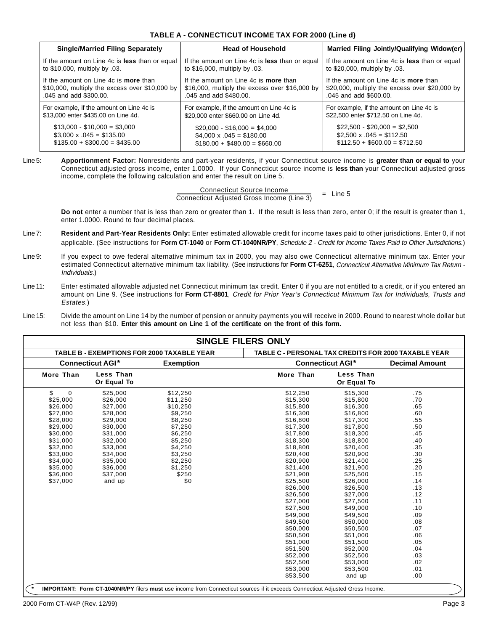| TABLE A - CONNECTICUT INCOME TAX FOR 2000 (Line d) |  |  |
|----------------------------------------------------|--|--|
|----------------------------------------------------|--|--|

| <b>Single/Married Filing Separately</b>        | <b>Head of Household</b>                          | Married Filing Jointly/Qualifying Widow(er)    |  |  |
|------------------------------------------------|---------------------------------------------------|------------------------------------------------|--|--|
| If the amount on Line 4c is less than or equal | If the amount on Line 4c is less than or equal    | If the amount on Line 4c is less than or equal |  |  |
| to \$10,000, multiply by 0.03.                 | to \$16,000, multiply by .03.                     | to \$20,000, multiply by .03.                  |  |  |
| If the amount on Line 4c is <b>more</b> than   | If the amount on Line 4c is more than             | If the amount on Line 4c is <b>more</b> than   |  |  |
| \$10,000, multiply the excess over \$10,000 by | $$16,000$ , multiply the excess over $$16,000$ by | \$20,000, multiply the excess over \$20,000 by |  |  |
| .045 and add \$300.00.                         | .045 and add \$480.00.                            | .045 and add \$600.00.                         |  |  |
| For example, if the amount on Line 4c is       | For example, if the amount on Line 4c is          | For example, if the amount on Line 4c is       |  |  |
| \$13,000 enter \$435.00 on Line 4d.            | \$20,000 enter \$660.00 on Line 4d.               | \$22,500 enter \$712.50 on Line 4d.            |  |  |
| $$13,000 - $10,000 = $3,000$                   | $$20,000 - $16,000 = $4,000$                      | $$22,500 - $20,000 = $2,500$                   |  |  |
| $$3,000 \times .045 = $135.00$                 | $$4,000 \times .045 = $180.00$                    | $$2,500 \times .045 = $112.50$                 |  |  |
| $$135.00 + $300.00 = $435.00$                  | $$180.00 + $480.00 = $660.00$                     | $$112.50 + $600.00 = $712.50$                  |  |  |

#### Line 5: **Apportionment Factor:** Nonresidents and part-year residents, if your Connecticut source income is **greater than or equal to** your Connecticut adjusted gross income, enter 1.0000. If your Connecticut source income is **less than** your Connecticut adjusted gross income, complete the following calculation and enter the result on Line 5.

Connecticut Source Income Connecticut Adjusted Gross Income (Line 3)  $=$  Line 5

**Do not** enter a number that is less than zero or greater than 1. If the result is less than zero, enter 0; if the result is greater than 1, enter 1.0000. Round to four decimal places.

- Line 7: **Resident and Part-Year Residents Only:** Enter estimated allowable credit for income taxes paid to other jurisdictions. Enter 0, if not applicable. (See instructions for **Form CT-1040** or **Form CT-1040NR/PY**, Schedule 2 - Credit for Income Taxes Paid to Other Jurisdictions.)
- Line 9: If you expect to owe federal alternative minimum tax in 2000, you may also owe Connecticut alternative minimum tax. Enter your estimated Connecticut alternative minimum tax liability. (See instructions for **Form CT-6251**, Connecticut Alternative Minimum Tax Return - Individuals.)
- Line 11: Enter estimated allowable adjusted net Connecticut minimum tax credit. Enter 0 if you are not entitled to a credit, or if you entered an amount on Line 9. (See instructions for **Form CT-8801**, Credit for Prior Year's Connecticut Minimum Tax for Individuals, Trusts and Estates.)
- Line 15: Divide the amount on Line 14 by the number of pension or annuity payments you will receive in 2000. Round to nearest whole dollar but not less than \$10. **Enter this amount on Line 1 of the certificate on the front of this form.**

|                                             |                          | <b>TABLE B - EXEMPTIONS FOR 2000 TAXABLE YEAR</b> | TABLE C - PERSONAL TAX CREDITS FOR 2000 TAXABLE YEAR |                          |     |
|---------------------------------------------|--------------------------|---------------------------------------------------|------------------------------------------------------|--------------------------|-----|
| <b>Connecticut AGI*</b><br><b>Exemption</b> |                          |                                                   | <b>Connecticut AGI*</b>                              | <b>Decimal Amount</b>    |     |
| More Than                                   | Less Than<br>Or Equal To |                                                   | More Than                                            | Less Than<br>Or Equal To |     |
| \$<br>$\mathbf 0$                           | \$25,000                 | \$12,250                                          | \$12,250                                             | \$15,300                 | .75 |
| \$25,000                                    | \$26,000                 | \$11,250                                          | \$15,300                                             | \$15,800                 | .70 |
| \$26,000                                    | \$27,000                 | \$10,250                                          | \$15,800                                             | \$16,300                 | .65 |
| \$27,000                                    | \$28,000                 | \$9,250                                           | \$16,300                                             | \$16,800                 | .60 |
| \$28,000                                    | \$29,000                 | \$8,250                                           | \$16,800                                             | \$17,300                 | .55 |
| \$29,000                                    | \$30,000                 | \$7,250                                           | \$17,300                                             | \$17,800                 | .50 |
| \$30,000                                    | \$31,000                 | \$6,250                                           | \$17,800                                             | \$18,300                 | .45 |
| \$31,000                                    | \$32,000                 | \$5,250                                           | \$18,300                                             | \$18,800                 | .40 |
| \$32,000                                    | \$33,000                 | \$4,250                                           | \$18,800                                             | \$20,400                 | .35 |
| \$33,000                                    | \$34,000                 | \$3,250                                           | \$20,400                                             | \$20,900                 | .30 |
| \$34,000                                    | \$35,000                 | \$2,250                                           | \$20,900                                             | \$21,400                 | .25 |
| \$35,000                                    | \$36,000                 | \$1,250                                           | \$21,400                                             | \$21,900                 | .20 |
| \$36,000                                    | \$37,000                 | \$250                                             | \$21.900                                             | \$25.500                 | .15 |
| \$37,000                                    | and up                   | \$0                                               | \$25,500                                             | \$26,000                 | .14 |
|                                             |                          |                                                   | \$26,000                                             | \$26,500                 | .13 |
|                                             |                          |                                                   | \$26,500                                             | \$27,000                 | .12 |
|                                             |                          |                                                   | \$27,000                                             | \$27,500                 | .11 |
|                                             |                          |                                                   | \$27,500                                             | \$49,000                 | .10 |
|                                             |                          |                                                   | \$49,000                                             | \$49,500                 | .09 |
|                                             |                          |                                                   | \$49,500                                             | \$50,000                 | .08 |
|                                             |                          |                                                   | \$50,000                                             | \$50,500                 | .07 |
|                                             |                          |                                                   | \$50,500                                             | \$51,000                 | .06 |
|                                             |                          |                                                   | \$51,000                                             | \$51,500                 | .05 |
|                                             |                          |                                                   | \$51,500                                             | \$52,000                 | .04 |
|                                             |                          |                                                   | \$52,000                                             | \$52,500                 | .03 |
|                                             |                          |                                                   | \$52,500                                             | \$53,000                 | .02 |
|                                             |                          |                                                   | \$53,000                                             | \$53,500                 | .01 |
|                                             |                          |                                                   | \$53,500                                             | and up                   | .00 |